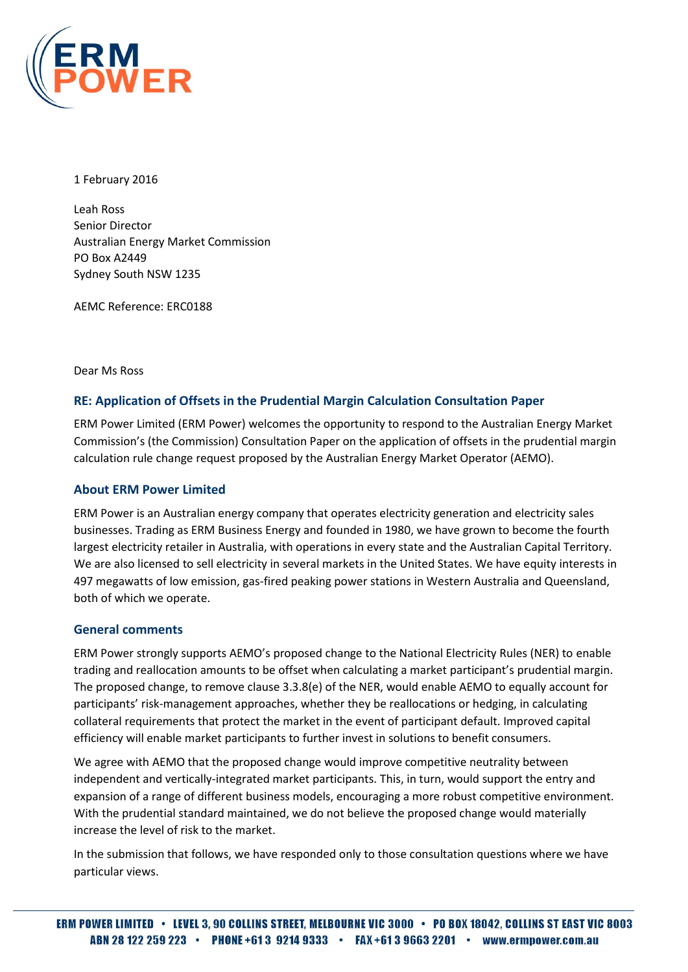

1 February 2016

Leah Ross Senior Director Australian Energy Market Commission PO Box A2449 Sydney South NSW 1235

AEMC Reference: ERC0188

Dear Ms Ross

# **RE: Application of Offsets in the Prudential Margin Calculation Consultation Paper**

ERM Power Limited (ERM Power) welcomes the opportunity to respond to the Australian Energy Market Commission's (the Commission) Consultation Paper on the application of offsets in the prudential margin calculation rule change request proposed by the Australian Energy Market Operator (AEMO).

## **About ERM Power Limited**

ERM Power is an Australian energy company that operates electricity generation and electricity sales businesses. Trading as ERM Business Energy and founded in 1980, we have grown to become the fourth largest electricity retailer in Australia, with operations in every state and the Australian Capital Territory. We are also licensed to sell electricity in several markets in the United States. We have equity interests in 497 megawatts of low emission, gas-fired peaking power stations in Western Australia and Queensland, both of which we operate.

### **General comments**

ERM Power strongly supports AEMO's proposed change to the National Electricity Rules (NER) to enable trading and reallocation amounts to be offset when calculating a market participant's prudential margin. The proposed change, to remove clause 3.3.8(e) of the NER, would enable AEMO to equally account for participants' risk-management approaches, whether they be reallocations or hedging, in calculating collateral requirements that protect the market in the event of participant default. Improved capital efficiency will enable market participants to further invest in solutions to benefit consumers.

We agree with AEMO that the proposed change would improve competitive neutrality between independent and vertically-integrated market participants. This, in turn, would support the entry and expansion of a range of different business models, encouraging a more robust competitive environment. With the prudential standard maintained, we do not believe the proposed change would materially increase the level of risk to the market.

In the submission that follows, we have responded only to those consultation questions where we have particular views.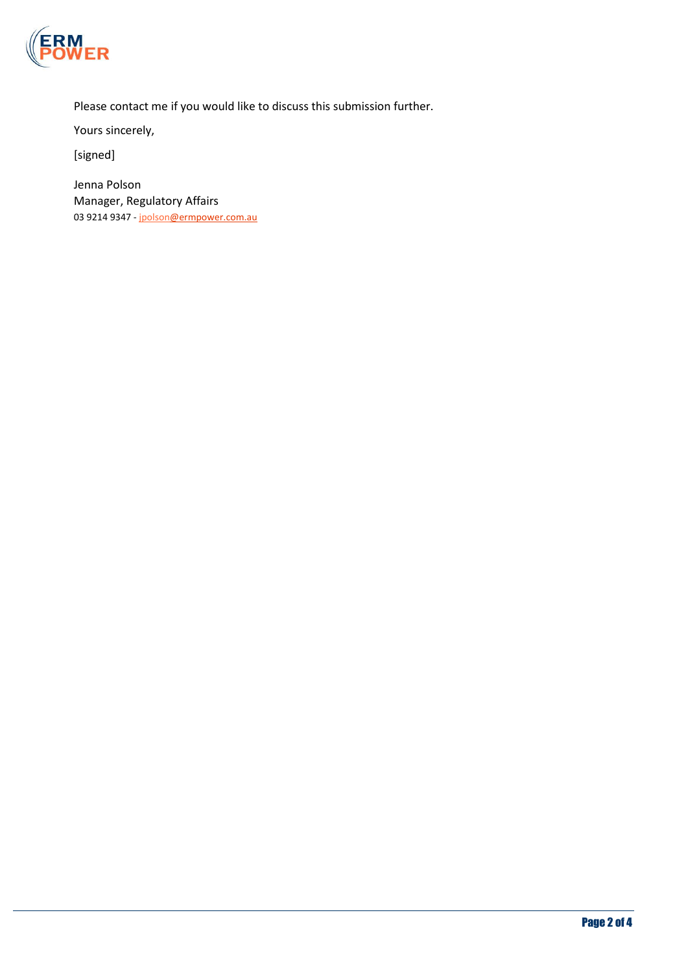

Please contact me if you would like to discuss this submission further.

Yours sincerely,

[signed]

Jenna Polson Manager, Regulatory Affairs 03 9214 9347 - jpolson@ermpower.com.au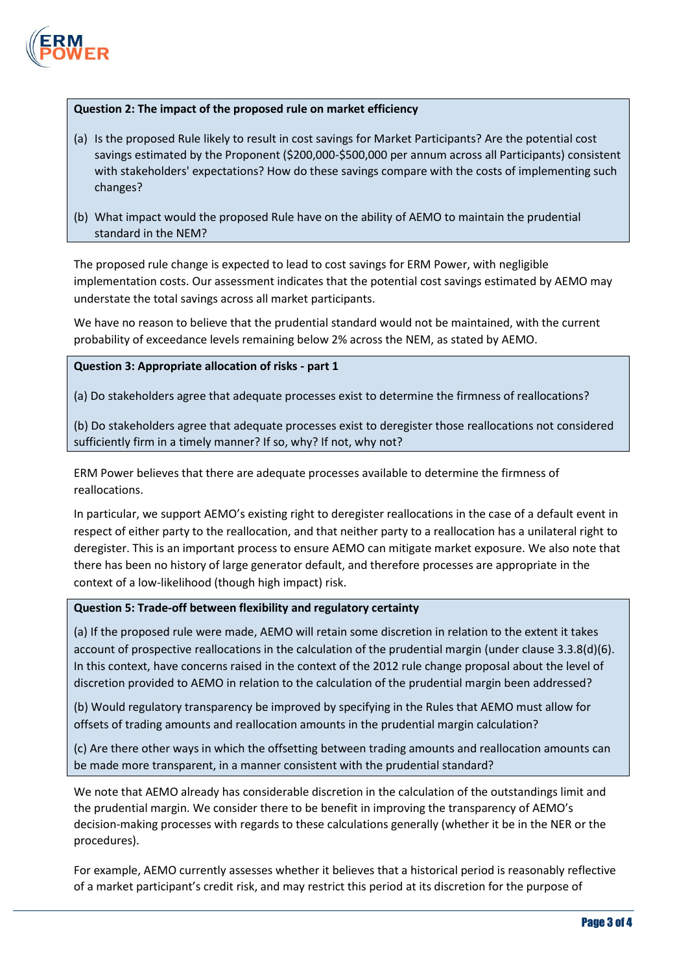

#### **Question 2: The impact of the proposed rule on market efficiency**

- (a) Is the proposed Rule likely to result in cost savings for Market Participants? Are the potential cost savings estimated by the Proponent (\$200,000-\$500,000 per annum across all Participants) consistent with stakeholders' expectations? How do these savings compare with the costs of implementing such changes?
- (b) What impact would the proposed Rule have on the ability of AEMO to maintain the prudential standard in the NEM?

The proposed rule change is expected to lead to cost savings for ERM Power, with negligible implementation costs. Our assessment indicates that the potential cost savings estimated by AEMO may understate the total savings across all market participants.

We have no reason to believe that the prudential standard would not be maintained, with the current probability of exceedance levels remaining below 2% across the NEM, as stated by AEMO.

#### **Question 3: Appropriate allocation of risks - part 1**

(a) Do stakeholders agree that adequate processes exist to determine the firmness of reallocations?

(b) Do stakeholders agree that adequate processes exist to deregister those reallocations not considered sufficiently firm in a timely manner? If so, why? If not, why not?

ERM Power believes that there are adequate processes available to determine the firmness of reallocations.

In particular, we support AEMO's existing right to deregister reallocations in the case of a default event in respect of either party to the reallocation, and that neither party to a reallocation has a unilateral right to deregister. This is an important process to ensure AEMO can mitigate market exposure. We also note that there has been no history of large generator default, and therefore processes are appropriate in the context of a low-likelihood (though high impact) risk.

#### **Question 5: Trade-off between flexibility and regulatory certainty**

(a) If the proposed rule were made, AEMO will retain some discretion in relation to the extent it takes account of prospective reallocations in the calculation of the prudential margin (under clause 3.3.8(d)(6). In this context, have concerns raised in the context of the 2012 rule change proposal about the level of discretion provided to AEMO in relation to the calculation of the prudential margin been addressed?

(b) Would regulatory transparency be improved by specifying in the Rules that AEMO must allow for offsets of trading amounts and reallocation amounts in the prudential margin calculation?

(c) Are there other ways in which the offsetting between trading amounts and reallocation amounts can be made more transparent, in a manner consistent with the prudential standard?

We note that AEMO already has considerable discretion in the calculation of the outstandings limit and the prudential margin. We consider there to be benefit in improving the transparency of AEMO's decision-making processes with regards to these calculations generally (whether it be in the NER or the procedures).

For example, AEMO currently assesses whether it believes that a historical period is reasonably reflective of a market participant's credit risk, and may restrict this period at its discretion for the purpose of